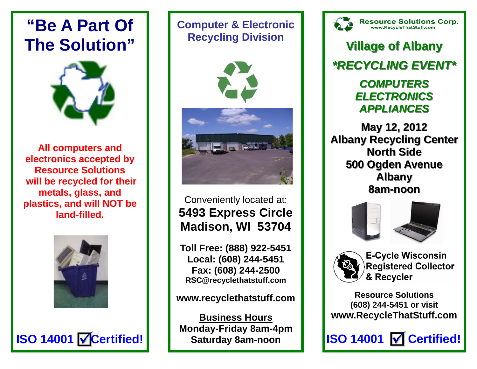# **"Be A Part Of The Solution"**



**All computers and electronics accepted by Resource Solutions will be recycled for their metals, glass, and plastics, and will NOT be land-filled.**



**ISO 14001 √ Certified!** 

### **Computer & Electronic Recycling Division**



Conveniently located at: **5493 Express Circle Madison, WI 53704** 

**Toll Free: (888) 922-5451 Local: (608) 244-5451 Fax: (608) 244-2500 RSC@recyclethatstuff.com** 

**www.recyclethatstuff.com** 

**Business Hours Monday-Friday 8am-4pm Saturday 8am-noon** 



Resource Solutions Corp.<br>www.RecycleThatStuff.com

**Village of Albany Village of Albany** *\*RECYCLING EVENT\* \*RECYCLING EVENT\* COMPUTERS COMPUTERSELECTRONICS ELECTRONICSAPPLIANCES APPLIANCES*

**May 12, 2012 May 12, 2012 Albany Recycling Center Albany Recycling Center North Side North Side500 Ogden Avenue Albany 8am-noon**







**E-Cycle Wisconsin Registered Collector** & Recycler

**Resource Solutions (608) 244-5451 or visit www.RecycleThatStuff.com**